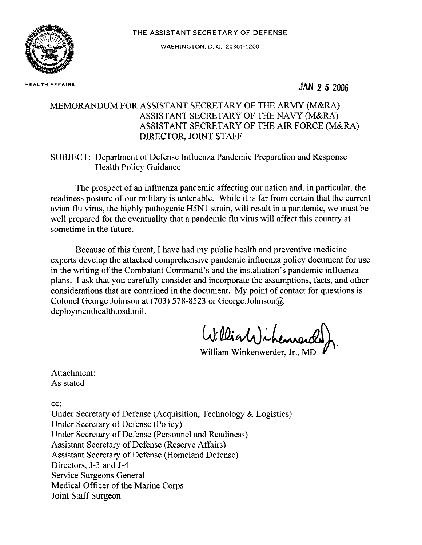

**WASHINGTON, D. C. 20301-1 200** 

**HEALTH AFFAIRS JAN 2 5** <sup>2006</sup>

## MEMORANDUM FOR ASSISTANT SECRETARY OF THE ARMY (M&RA) ASSISTANT SECRETARY OF THE NAVY (M&RA) ASSISTANT SECRETARY OF THE AIR FORCE (M&RA) DIRECTOR, JOINT STAFF

## SUBJECT: Department of Defense Influenza Pandemic Preparation and Response Health Policy Guidance

The prospect of an influenza pandemic affecting our nation and, in particular, the readiness posture of our military is untenable. While it is far from certain that the current avian flu virus, the highly pathogenic H5N1 strain, will result in a pandemic, we must be well prepared for the eventuality that a pandemic flu virus will affect this country at sometime in the future.

Because of this threat, I have had my public health and preventive medicine experts develop the attached comprehensive pandemic influenza policy document for use in the writing of the Combatant Command's and the installation's pandemic influenza plans. I ask that you carefully consider and incorporate the assumptions, facts, and other considerations that are contained in the document. My point of contact for questions is Colonel George Johnson at (703) 578-8523 or George.Johnson@ deploymenthealth.osd.mil.

William ) ihen

William Winkenwerder, Jr., MD

Attachment: As stated

cc:

Under Secretary of Defense (Acquisition, Technology & Logistics) Under Secretary of Defense (Policy) Under Secretary of Defense (Personnel and Readiness) Assistant Secretary of Defense (Reserve Affairs) Assistant Secretary of Defense (Homeland Defense) Directors, J-3 and J-4 Service Surgeons General Medical Officer of the Marine Corps Joint Staff Surgeon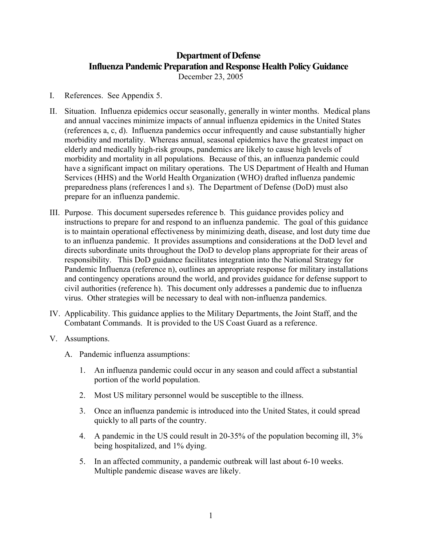## **Department of Defense Influenza Pandemic Preparation and Response Health Policy Guidance**  December 23, 2005

- I. References. See Appendix 5.
- II. Situation. Influenza epidemics occur seasonally, generally in winter months. Medical plans and annual vaccines minimize impacts of annual influenza epidemics in the United States (references a, c, d). Influenza pandemics occur infrequently and cause substantially higher morbidity and mortality. Whereas annual, seasonal epidemics have the greatest impact on elderly and medically high-risk groups, pandemics are likely to cause high levels of morbidity and mortality in all populations. Because of this, an influenza pandemic could have a significant impact on military operations. The US Department of Health and Human Services (HHS) and the World Health Organization (WHO) drafted influenza pandemic preparedness plans (references l and s). The Department of Defense (DoD) must also prepare for an influenza pandemic.
- III. Purpose. This document supersedes reference b. This guidance provides policy and instructions to prepare for and respond to an influenza pandemic. The goal of this guidance is to maintain operational effectiveness by minimizing death, disease, and lost duty time due to an influenza pandemic. It provides assumptions and considerations at the DoD level and directs subordinate units throughout the DoD to develop plans appropriate for their areas of responsibility. This DoD guidance facilitates integration into the National Strategy for Pandemic Influenza (reference n), outlines an appropriate response for military installations and contingency operations around the world, and provides guidance for defense support to civil authorities (reference h). This document only addresses a pandemic due to influenza virus. Other strategies will be necessary to deal with non-influenza pandemics.
- IV. Applicability. This guidance applies to the Military Departments, the Joint Staff, and the Combatant Commands. It is provided to the US Coast Guard as a reference.
- V. Assumptions.
	- A. Pandemic influenza assumptions:
		- 1. An influenza pandemic could occur in any season and could affect a substantial portion of the world population.
		- 2. Most US military personnel would be susceptible to the illness.
		- 3. Once an influenza pandemic is introduced into the United States, it could spread quickly to all parts of the country.
		- 4. A pandemic in the US could result in 20-35% of the population becoming ill, 3% being hospitalized, and 1% dying.
		- 5. In an affected community, a pandemic outbreak will last about 6-10 weeks. Multiple pandemic disease waves are likely.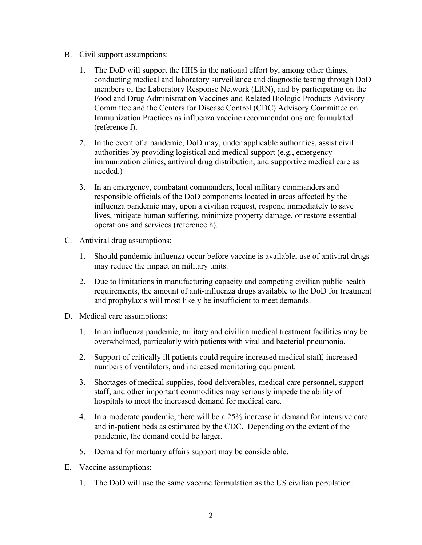- B. Civil support assumptions:
	- 1. The DoD will support the HHS in the national effort by, among other things, conducting medical and laboratory surveillance and diagnostic testing through DoD members of the Laboratory Response Network (LRN), and by participating on the Food and Drug Administration Vaccines and Related Biologic Products Advisory Committee and the Centers for Disease Control (CDC) Advisory Committee on Immunization Practices as influenza vaccine recommendations are formulated (reference f).
	- 2. In the event of a pandemic, DoD may, under applicable authorities, assist civil authorities by providing logistical and medical support (e.g., emergency immunization clinics, antiviral drug distribution, and supportive medical care as needed.)
	- 3. In an emergency, combatant commanders, local military commanders and responsible officials of the DoD components located in areas affected by the influenza pandemic may, upon a civilian request, respond immediately to save lives, mitigate human suffering, minimize property damage, or restore essential operations and services (reference h).
- C. Antiviral drug assumptions:
	- 1. Should pandemic influenza occur before vaccine is available, use of antiviral drugs may reduce the impact on military units.
	- 2. Due to limitations in manufacturing capacity and competing civilian public health requirements, the amount of anti-influenza drugs available to the DoD for treatment and prophylaxis will most likely be insufficient to meet demands.
- D. Medical care assumptions:
	- 1. In an influenza pandemic, military and civilian medical treatment facilities may be overwhelmed, particularly with patients with viral and bacterial pneumonia.
	- 2. Support of critically ill patients could require increased medical staff, increased numbers of ventilators, and increased monitoring equipment.
	- 3. Shortages of medical supplies, food deliverables, medical care personnel, support staff, and other important commodities may seriously impede the ability of hospitals to meet the increased demand for medical care.
	- 4. In a moderate pandemic, there will be a 25% increase in demand for intensive care and in-patient beds as estimated by the CDC. Depending on the extent of the pandemic, the demand could be larger.
	- 5. Demand for mortuary affairs support may be considerable.
- E. Vaccine assumptions:
	- 1. The DoD will use the same vaccine formulation as the US civilian population.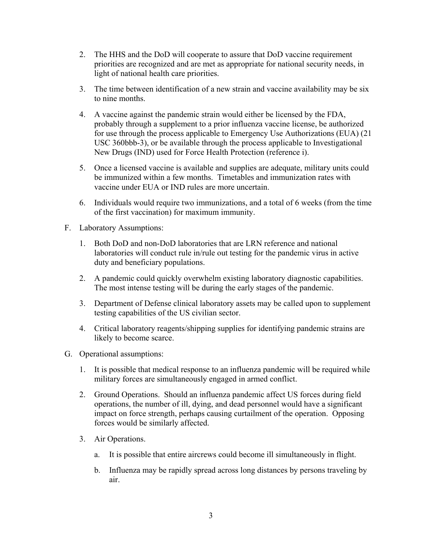- 2. The HHS and the DoD will cooperate to assure that DoD vaccine requirement priorities are recognized and are met as appropriate for national security needs, in light of national health care priorities.
- 3. The time between identification of a new strain and vaccine availability may be six to nine months.
- 4. A vaccine against the pandemic strain would either be licensed by the FDA, probably through a supplement to a prior influenza vaccine license, be authorized for use through the process applicable to Emergency Use Authorizations (EUA) (21 USC 360bbb-3), or be available through the process applicable to Investigational New Drugs (IND) used for Force Health Protection (reference i).
- 5. Once a licensed vaccine is available and supplies are adequate, military units could be immunized within a few months. Timetables and immunization rates with vaccine under EUA or IND rules are more uncertain.
- 6. Individuals would require two immunizations, and a total of 6 weeks (from the time of the first vaccination) for maximum immunity.
- F. Laboratory Assumptions:
	- 1. Both DoD and non-DoD laboratories that are LRN reference and national laboratories will conduct rule in/rule out testing for the pandemic virus in active duty and beneficiary populations.
	- 2. A pandemic could quickly overwhelm existing laboratory diagnostic capabilities. The most intense testing will be during the early stages of the pandemic.
	- 3. Department of Defense clinical laboratory assets may be called upon to supplement testing capabilities of the US civilian sector.
	- 4. Critical laboratory reagents/shipping supplies for identifying pandemic strains are likely to become scarce.
- G. Operational assumptions:
	- 1. It is possible that medical response to an influenza pandemic will be required while military forces are simultaneously engaged in armed conflict.
	- 2. Ground Operations. Should an influenza pandemic affect US forces during field operations, the number of ill, dying, and dead personnel would have a significant impact on force strength, perhaps causing curtailment of the operation. Opposing forces would be similarly affected.
	- 3. Air Operations.
		- a. It is possible that entire aircrews could become ill simultaneously in flight.
		- b. Influenza may be rapidly spread across long distances by persons traveling by air.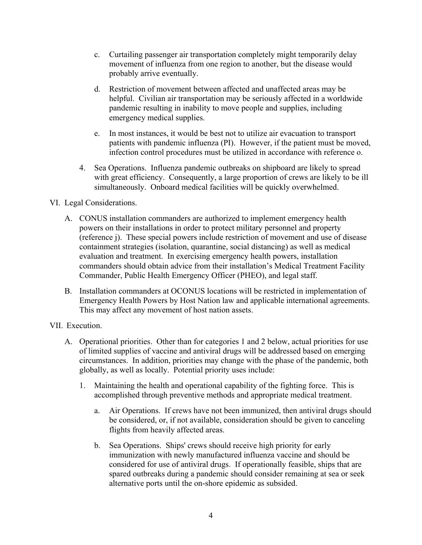- c. Curtailing passenger air transportation completely might temporarily delay movement of influenza from one region to another, but the disease would probably arrive eventually.
- d. Restriction of movement between affected and unaffected areas may be helpful. Civilian air transportation may be seriously affected in a worldwide pandemic resulting in inability to move people and supplies, including emergency medical supplies.
- e. In most instances, it would be best not to utilize air evacuation to transport patients with pandemic influenza (PI). However, if the patient must be moved, infection control procedures must be utilized in accordance with reference o.
- 4. Sea Operations. Influenza pandemic outbreaks on shipboard are likely to spread with great efficiency. Consequently, a large proportion of crews are likely to be ill simultaneously. Onboard medical facilities will be quickly overwhelmed.

VI. Legal Considerations.

- A. CONUS installation commanders are authorized to implement emergency health powers on their installations in order to protect military personnel and property (reference j). These special powers include restriction of movement and use of disease containment strategies (isolation, quarantine, social distancing) as well as medical evaluation and treatment. In exercising emergency health powers, installation commanders should obtain advice from their installation's Medical Treatment Facility Commander, Public Health Emergency Officer (PHEO), and legal staff.
- B. Installation commanders at OCONUS locations will be restricted in implementation of Emergency Health Powers by Host Nation law and applicable international agreements. This may affect any movement of host nation assets.

VII. Execution.

- A. Operational priorities. Other than for categories 1 and 2 below, actual priorities for use of limited supplies of vaccine and antiviral drugs will be addressed based on emerging circumstances. In addition, priorities may change with the phase of the pandemic, both globally, as well as locally. Potential priority uses include:
	- 1. Maintaining the health and operational capability of the fighting force. This is accomplished through preventive methods and appropriate medical treatment.
		- a. Air Operations. If crews have not been immunized, then antiviral drugs should be considered, or, if not available, consideration should be given to canceling flights from heavily affected areas.
		- b. Sea Operations. Ships' crews should receive high priority for early immunization with newly manufactured influenza vaccine and should be considered for use of antiviral drugs. If operationally feasible, ships that are spared outbreaks during a pandemic should consider remaining at sea or seek alternative ports until the on-shore epidemic as subsided.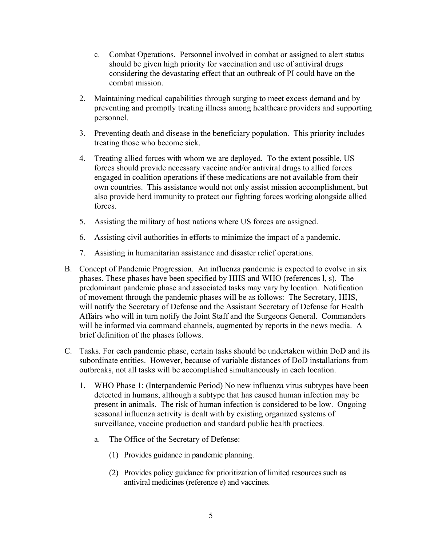- c. Combat Operations. Personnel involved in combat or assigned to alert status should be given high priority for vaccination and use of antiviral drugs considering the devastating effect that an outbreak of PI could have on the combat mission.
- 2. Maintaining medical capabilities through surging to meet excess demand and by preventing and promptly treating illness among healthcare providers and supporting personnel.
- 3. Preventing death and disease in the beneficiary population. This priority includes treating those who become sick.
- 4. Treating allied forces with whom we are deployed. To the extent possible, US forces should provide necessary vaccine and/or antiviral drugs to allied forces engaged in coalition operations if these medications are not available from their own countries. This assistance would not only assist mission accomplishment, but also provide herd immunity to protect our fighting forces working alongside allied forces.
- 5. Assisting the military of host nations where US forces are assigned.
- 6. Assisting civil authorities in efforts to minimize the impact of a pandemic.
- 7. Assisting in humanitarian assistance and disaster relief operations.
- B. Concept of Pandemic Progression. An influenza pandemic is expected to evolve in six phases. These phases have been specified by HHS and WHO (references l, s). The predominant pandemic phase and associated tasks may vary by location. Notification of movement through the pandemic phases will be as follows: The Secretary, HHS, will notify the Secretary of Defense and the Assistant Secretary of Defense for Health Affairs who will in turn notify the Joint Staff and the Surgeons General. Commanders will be informed via command channels, augmented by reports in the news media. A brief definition of the phases follows.
- C. Tasks. For each pandemic phase, certain tasks should be undertaken within DoD and its subordinate entities. However, because of variable distances of DoD installations from outbreaks, not all tasks will be accomplished simultaneously in each location.
	- 1. WHO Phase 1: (Interpandemic Period) No new influenza virus subtypes have been detected in humans, although a subtype that has caused human infection may be present in animals. The risk of human infection is considered to be low. Ongoing seasonal influenza activity is dealt with by existing organized systems of surveillance, vaccine production and standard public health practices.
		- a. The Office of the Secretary of Defense:
			- (1) Provides guidance in pandemic planning.
			- (2) Provides policy guidance for prioritization of limited resources such as antiviral medicines (reference e) and vaccines.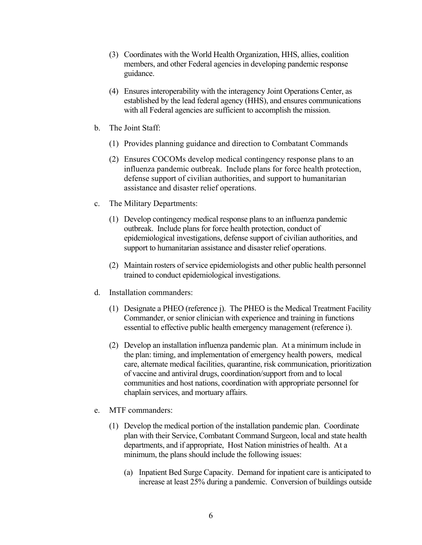- (3) Coordinates with the World Health Organization, HHS, allies, coalition members, and other Federal agencies in developing pandemic response guidance.
- (4) Ensures interoperability with the interagency Joint Operations Center, as established by the lead federal agency (HHS), and ensures communications with all Federal agencies are sufficient to accomplish the mission.
- b. The Joint Staff:
	- (1) Provides planning guidance and direction to Combatant Commands
	- (2) Ensures COCOMs develop medical contingency response plans to an influenza pandemic outbreak. Include plans for force health protection, defense support of civilian authorities, and support to humanitarian assistance and disaster relief operations.
- c. The Military Departments:
	- (1) Develop contingency medical response plans to an influenza pandemic outbreak. Include plans for force health protection, conduct of epidemiological investigations, defense support of civilian authorities, and support to humanitarian assistance and disaster relief operations.
	- (2) Maintain rosters of service epidemiologists and other public health personnel trained to conduct epidemiological investigations.
- d. Installation commanders:
	- (1) Designate a PHEO (reference j). The PHEO is the Medical Treatment Facility Commander, or senior clinician with experience and training in functions essential to effective public health emergency management (reference i).
	- (2) Develop an installation influenza pandemic plan. At a minimum include in the plan: timing, and implementation of emergency health powers, medical care, alternate medical facilities, quarantine, risk communication, prioritization of vaccine and antiviral drugs, coordination/support from and to local communities and host nations, coordination with appropriate personnel for chaplain services, and mortuary affairs.
- e. MTF commanders:
	- (1) Develop the medical portion of the installation pandemic plan. Coordinate plan with their Service, Combatant Command Surgeon, local and state health departments, and if appropriate, Host Nation ministries of health. At a minimum, the plans should include the following issues:
		- (a) Inpatient Bed Surge Capacity. Demand for inpatient care is anticipated to increase at least 25% during a pandemic. Conversion of buildings outside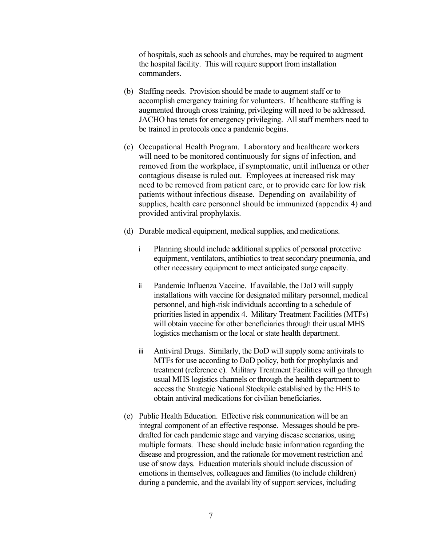of hospitals, such as schools and churches, may be required to augment the hospital facility. This will require support from installation commanders.

- (b) Staffing needs. Provision should be made to augment staff or to accomplish emergency training for volunteers. If healthcare staffing is augmented through cross training, privileging will need to be addressed. JACHO has tenets for emergency privileging. All staff members need to be trained in protocols once a pandemic begins.
- (c) Occupational Health Program. Laboratory and healthcare workers will need to be monitored continuously for signs of infection, and removed from the workplace, if symptomatic, until influenza or other contagious disease is ruled out. Employees at increased risk may need to be removed from patient care, or to provide care for low risk patients without infectious disease. Depending on availability of supplies, health care personnel should be immunized (appendix 4) and provided antiviral prophylaxis.
- (d) Durable medical equipment, medical supplies, and medications.
	- i Planning should include additional supplies of personal protective equipment, ventilators, antibiotics to treat secondary pneumonia, and other necessary equipment to meet anticipated surge capacity.
	- ii Pandemic Influenza Vaccine. If available, the DoD will supply installations with vaccine for designated military personnel, medical personnel, and high-risk individuals according to a schedule of priorities listed in appendix 4. Military Treatment Facilities (MTFs) will obtain vaccine for other beneficiaries through their usual MHS logistics mechanism or the local or state health department.
	- iii Antiviral Drugs. Similarly, the DoD will supply some antivirals to MTFs for use according to DoD policy, both for prophylaxis and treatment (reference e). Military Treatment Facilities will go through usual MHS logistics channels or through the health department to access the Strategic National Stockpile established by the HHS to obtain antiviral medications for civilian beneficiaries.
- (e) Public Health Education. Effective risk communication will be an integral component of an effective response. Messages should be predrafted for each pandemic stage and varying disease scenarios, using multiple formats. These should include basic information regarding the disease and progression, and the rationale for movement restriction and use of snow days. Education materials should include discussion of emotions in themselves, colleagues and families (to include children) during a pandemic, and the availability of support services, including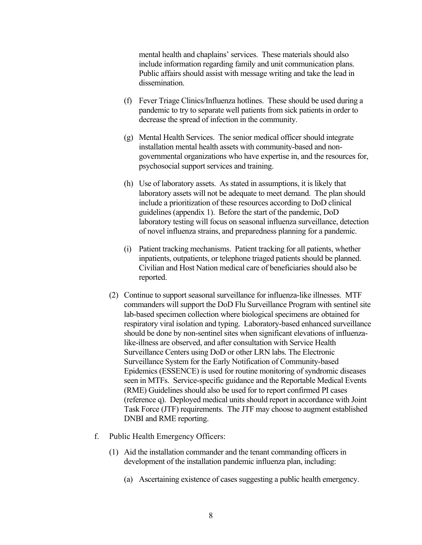mental health and chaplains' services. These materials should also include information regarding family and unit communication plans. Public affairs should assist with message writing and take the lead in dissemination.

- (f) Fever Triage Clinics/Influenza hotlines. These should be used during a pandemic to try to separate well patients from sick patients in order to decrease the spread of infection in the community.
- (g) Mental Health Services. The senior medical officer should integrate installation mental health assets with community-based and nongovernmental organizations who have expertise in, and the resources for, psychosocial support services and training.
- (h) Use of laboratory assets. As stated in assumptions, it is likely that laboratory assets will not be adequate to meet demand. The plan should include a prioritization of these resources according to DoD clinical guidelines (appendix 1). Before the start of the pandemic, DoD laboratory testing will focus on seasonal influenza surveillance, detection of novel influenza strains, and preparedness planning for a pandemic.
- (i) Patient tracking mechanisms. Patient tracking for all patients, whether inpatients, outpatients, or telephone triaged patients should be planned. Civilian and Host Nation medical care of beneficiaries should also be reported.
- (2) Continue to support seasonal surveillance for influenza-like illnesses. MTF commanders will support the DoD Flu Surveillance Program with sentinel site lab-based specimen collection where biological specimens are obtained for respiratory viral isolation and typing. Laboratory-based enhanced surveillance should be done by non-sentinel sites when significant elevations of influenzalike-illness are observed, and after consultation with Service Health Surveillance Centers using DoD or other LRN labs. The Electronic Surveillance System for the Early Notification of Community-based Epidemics (ESSENCE) is used for routine monitoring of syndromic diseases seen in MTFs. Service-specific guidance and the Reportable Medical Events (RME) Guidelines should also be used for to report confirmed PI cases (reference q). Deployed medical units should report in accordance with Joint Task Force (JTF) requirements. The JTF may choose to augment established DNBI and RME reporting.
- f. Public Health Emergency Officers:
	- (1) Aid the installation commander and the tenant commanding officers in development of the installation pandemic influenza plan, including:
		- (a) Ascertaining existence of cases suggesting a public health emergency.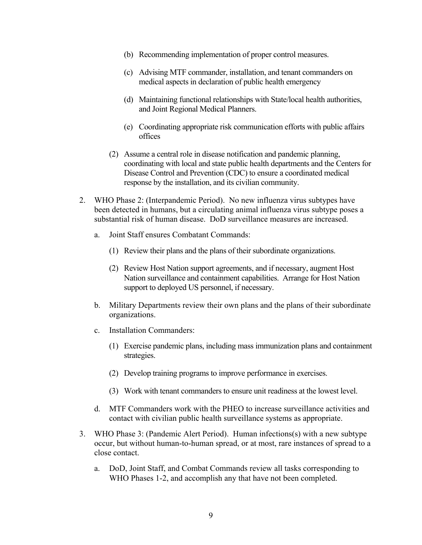- (b) Recommending implementation of proper control measures.
- (c) Advising MTF commander, installation, and tenant commanders on medical aspects in declaration of public health emergency
- (d) Maintaining functional relationships with State/local health authorities, and Joint Regional Medical Planners.
- (e) Coordinating appropriate risk communication efforts with public affairs offices
- (2) Assume a central role in disease notification and pandemic planning, coordinating with local and state public health departments and the Centers for Disease Control and Prevention (CDC) to ensure a coordinated medical response by the installation, and its civilian community.
- 2. WHO Phase 2: (Interpandemic Period). No new influenza virus subtypes have been detected in humans, but a circulating animal influenza virus subtype poses a substantial risk of human disease. DoD surveillance measures are increased.
	- a. Joint Staff ensures Combatant Commands:
		- (1) Review their plans and the plans of their subordinate organizations.
		- (2) Review Host Nation support agreements, and if necessary, augment Host Nation surveillance and containment capabilities. Arrange for Host Nation support to deployed US personnel, if necessary.
	- b. Military Departments review their own plans and the plans of their subordinate organizations.
	- c. Installation Commanders:
		- (1) Exercise pandemic plans, including mass immunization plans and containment strategies.
		- (2) Develop training programs to improve performance in exercises.
		- (3) Work with tenant commanders to ensure unit readiness at the lowest level.
	- d. MTF Commanders work with the PHEO to increase surveillance activities and contact with civilian public health surveillance systems as appropriate.
- 3. WHO Phase 3: (Pandemic Alert Period). Human infections(s) with a new subtype occur, but without human-to-human spread, or at most, rare instances of spread to a close contact.
	- a. DoD, Joint Staff, and Combat Commands review all tasks corresponding to WHO Phases 1-2, and accomplish any that have not been completed.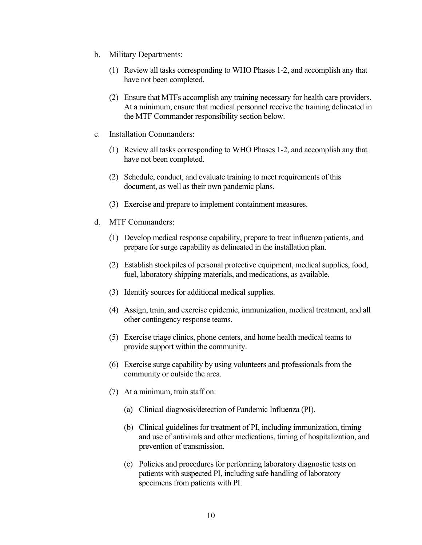- b. Military Departments:
	- (1) Review all tasks corresponding to WHO Phases 1-2, and accomplish any that have not been completed.
	- (2) Ensure that MTFs accomplish any training necessary for health care providers. At a minimum, ensure that medical personnel receive the training delineated in the MTF Commander responsibility section below.
- c. Installation Commanders:
	- (1) Review all tasks corresponding to WHO Phases 1-2, and accomplish any that have not been completed.
	- (2) Schedule, conduct, and evaluate training to meet requirements of this document, as well as their own pandemic plans.
	- (3) Exercise and prepare to implement containment measures.
- d. MTF Commanders:
	- (1) Develop medical response capability, prepare to treat influenza patients, and prepare for surge capability as delineated in the installation plan.
	- (2) Establish stockpiles of personal protective equipment, medical supplies, food, fuel, laboratory shipping materials, and medications, as available.
	- (3) Identify sources for additional medical supplies.
	- (4) Assign, train, and exercise epidemic, immunization, medical treatment, and all other contingency response teams.
	- (5) Exercise triage clinics, phone centers, and home health medical teams to provide support within the community.
	- (6) Exercise surge capability by using volunteers and professionals from the community or outside the area.
	- (7) At a minimum, train staff on:
		- (a) Clinical diagnosis/detection of Pandemic Influenza (PI).
		- (b) Clinical guidelines for treatment of PI, including immunization, timing and use of antivirals and other medications, timing of hospitalization, and prevention of transmission.
		- (c) Policies and procedures for performing laboratory diagnostic tests on patients with suspected PI, including safe handling of laboratory specimens from patients with PI.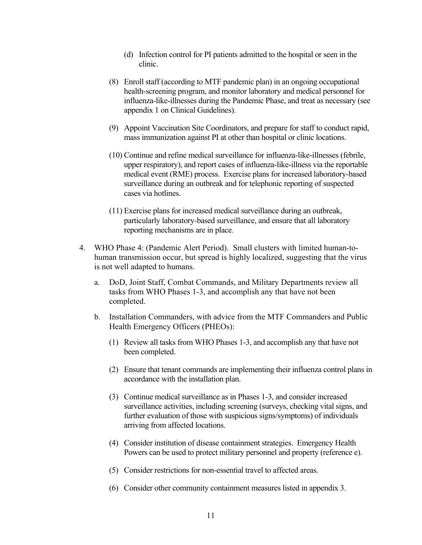- (d) Infection control for PI patients admitted to the hospital or seen in the clinic.
- (8) Enroll staff (according to MTF pandemic plan) in an ongoing occupational health-screening program, and monitor laboratory and medical personnel for influenza-like-illnesses during the Pandemic Phase, and treat as necessary (see appendix 1 on Clinical Guidelines).
- (9) Appoint Vaccination Site Coordinators, and prepare for staff to conduct rapid, mass immunization against PI at other than hospital or clinic locations.
- (10) Continue and refine medical surveillance for influenza-like-illnesses (febrile, upper respiratory), and report cases of influenza-like-illness via the reportable medical event (RME) process. Exercise plans for increased laboratory-based surveillance during an outbreak and for telephonic reporting of suspected cases via hotlines.
- (11) Exercise plans for increased medical surveillance during an outbreak, particularly laboratory-based surveillance, and ensure that all laboratory reporting mechanisms are in place.
- 4. WHO Phase 4: (Pandemic Alert Period). Small clusters with limited human-tohuman transmission occur, but spread is highly localized, suggesting that the virus is not well adapted to humans.
	- a. DoD, Joint Staff, Combat Commands, and Military Departments review all tasks from WHO Phases 1-3, and accomplish any that have not been completed.
	- b. Installation Commanders, with advice from the MTF Commanders and Public Health Emergency Officers (PHEOs):
		- (1) Review all tasks from WHO Phases 1-3, and accomplish any that have not been completed.
		- (2) Ensure that tenant commands are implementing their influenza control plans in accordance with the installation plan.
		- (3) Continue medical surveillance as in Phases 1-3, and consider increased surveillance activities, including screening (surveys, checking vital signs, and further evaluation of those with suspicious signs/symptoms) of individuals arriving from affected locations.
		- (4) Consider institution of disease containment strategies. Emergency Health Powers can be used to protect military personnel and property (reference e).
		- (5) Consider restrictions for non-essential travel to affected areas.
		- (6) Consider other community containment measures listed in appendix 3.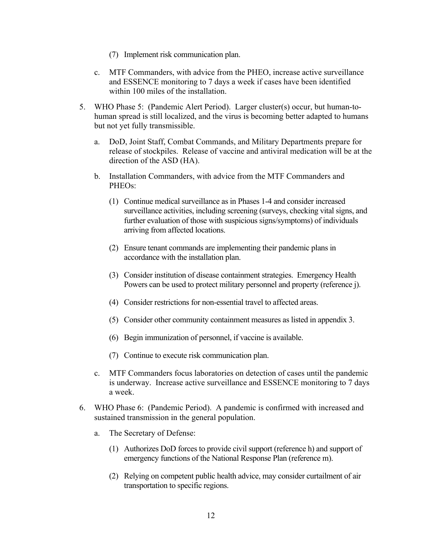- (7) Implement risk communication plan.
- c. MTF Commanders, with advice from the PHEO, increase active surveillance and ESSENCE monitoring to 7 days a week if cases have been identified within 100 miles of the installation.
- 5. WHO Phase 5: (Pandemic Alert Period). Larger cluster(s) occur, but human-tohuman spread is still localized, and the virus is becoming better adapted to humans but not yet fully transmissible.
	- a. DoD, Joint Staff, Combat Commands, and Military Departments prepare for release of stockpiles. Release of vaccine and antiviral medication will be at the direction of the ASD (HA).
	- b. Installation Commanders, with advice from the MTF Commanders and PHEOs:
		- (1) Continue medical surveillance as in Phases 1-4 and consider increased surveillance activities, including screening (surveys, checking vital signs, and further evaluation of those with suspicious signs/symptoms) of individuals arriving from affected locations.
		- (2) Ensure tenant commands are implementing their pandemic plans in accordance with the installation plan.
		- (3) Consider institution of disease containment strategies. Emergency Health Powers can be used to protect military personnel and property (reference j).
		- (4) Consider restrictions for non-essential travel to affected areas.
		- (5) Consider other community containment measures as listed in appendix 3.
		- (6) Begin immunization of personnel, if vaccine is available.
		- (7) Continue to execute risk communication plan.
	- c. MTF Commanders focus laboratories on detection of cases until the pandemic is underway. Increase active surveillance and ESSENCE monitoring to 7 days a week.
- 6. WHO Phase 6: (Pandemic Period). A pandemic is confirmed with increased and sustained transmission in the general population.
	- a. The Secretary of Defense:
		- (1) Authorizes DoD forces to provide civil support (reference h) and support of emergency functions of the National Response Plan (reference m).
		- (2) Relying on competent public health advice, may consider curtailment of air transportation to specific regions.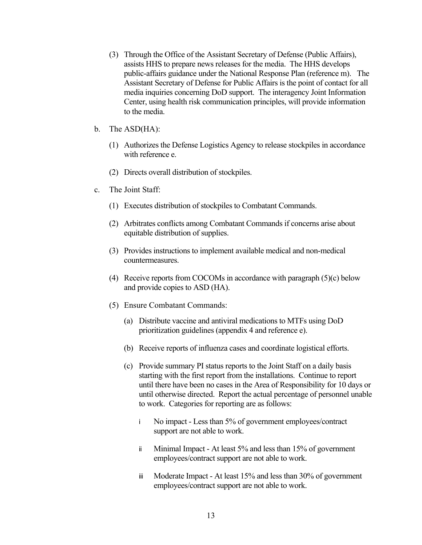- (3) Through the Office of the Assistant Secretary of Defense (Public Affairs), assists HHS to prepare news releases for the media. The HHS develops public-affairs guidance under the National Response Plan (reference m). The Assistant Secretary of Defense for Public Affairs is the point of contact for all media inquiries concerning DoD support. The interagency Joint Information Center, using health risk communication principles, will provide information to the media.
- b. The ASD(HA):
	- (1) Authorizes the Defense Logistics Agency to release stockpiles in accordance with reference e.
	- (2) Directs overall distribution of stockpiles.
- c. The Joint Staff:
	- (1) Executes distribution of stockpiles to Combatant Commands.
	- (2) Arbitrates conflicts among Combatant Commands if concerns arise about equitable distribution of supplies.
	- (3) Provides instructions to implement available medical and non-medical countermeasures.
	- (4) Receive reports from COCOMs in accordance with paragraph (5)(c) below and provide copies to ASD (HA).
	- (5) Ensure Combatant Commands:
		- (a) Distribute vaccine and antiviral medications to MTFs using DoD prioritization guidelines (appendix 4 and reference e).
		- (b) Receive reports of influenza cases and coordinate logistical efforts.
		- (c) Provide summary PI status reports to the Joint Staff on a daily basis starting with the first report from the installations. Continue to report until there have been no cases in the Area of Responsibility for 10 days or until otherwise directed. Report the actual percentage of personnel unable to work. Categories for reporting are as follows:
			- i No impact Less than 5% of government employees/contract support are not able to work.
			- ii Minimal Impact At least 5% and less than 15% of government employees/contract support are not able to work.
			- iii Moderate Impact At least 15% and less than 30% of government employees/contract support are not able to work.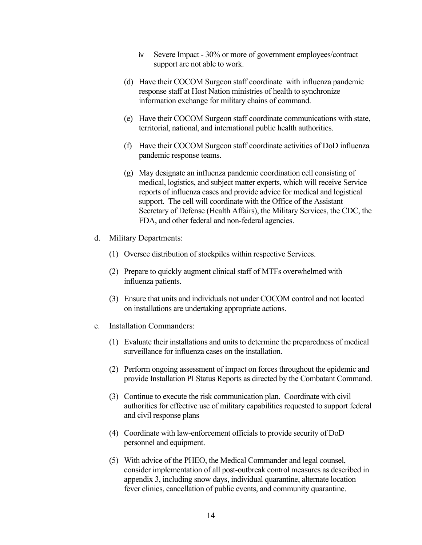- iv Severe Impact 30% or more of government employees/contract support are not able to work.
- (d) Have their COCOM Surgeon staff coordinate with influenza pandemic response staff at Host Nation ministries of health to synchronize information exchange for military chains of command.
- (e) Have their COCOM Surgeon staff coordinate communications with state, territorial, national, and international public health authorities.
- (f) Have their COCOM Surgeon staff coordinate activities of DoD influenza pandemic response teams.
- (g) May designate an influenza pandemic coordination cell consisting of medical, logistics, and subject matter experts, which will receive Service reports of influenza cases and provide advice for medical and logistical support. The cell will coordinate with the Office of the Assistant Secretary of Defense (Health Affairs), the Military Services, the CDC, the FDA, and other federal and non-federal agencies.
- d. Military Departments:
	- (1) Oversee distribution of stockpiles within respective Services.
	- (2) Prepare to quickly augment clinical staff of MTFs overwhelmed with influenza patients.
	- (3) Ensure that units and individuals not under COCOM control and not located on installations are undertaking appropriate actions.
- e. Installation Commanders:
	- (1) Evaluate their installations and units to determine the preparedness of medical surveillance for influenza cases on the installation.
	- (2) Perform ongoing assessment of impact on forces throughout the epidemic and provide Installation PI Status Reports as directed by the Combatant Command.
	- (3) Continue to execute the risk communication plan. Coordinate with civil authorities for effective use of military capabilities requested to support federal and civil response plans
	- (4) Coordinate with law-enforcement officials to provide security of DoD personnel and equipment.
	- (5) With advice of the PHEO, the Medical Commander and legal counsel, consider implementation of all post-outbreak control measures as described in appendix 3, including snow days, individual quarantine, alternate location fever clinics, cancellation of public events, and community quarantine.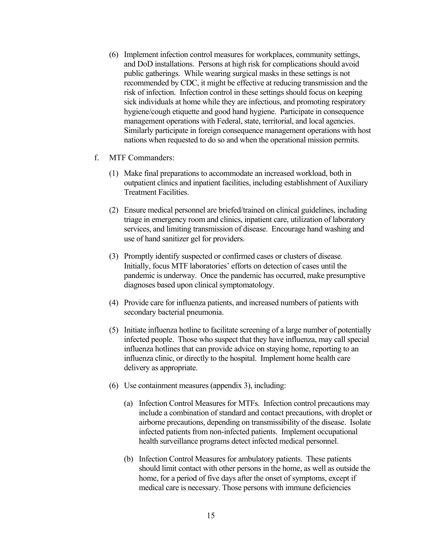- (6) Implement infection control measures for workplaces, community settings, and DoD installations. Persons at high risk for complications should avoid public gatherings. While wearing surgical masks in these settings is not recommended by CDC, it might be effective at reducing transmission and the risk of infection. Infection control in these settings should focus on keeping sick individuals at home while they are infectious, and promoting respiratory hygiene/cough etiquette and good hand hygiene. Participate in consequence management operations with Federal, state, territorial, and local agencies. Similarly participate in foreign consequence management operations with host nations when requested to do so and when the operational mission permits.
- f. MTF Commanders:
	- (1) Make final preparations to accommodate an increased workload, both in outpatient clinics and inpatient facilities, including establishment of Auxiliary Treatment Facilities.
	- (2) Ensure medical personnel are briefed/trained on clinical guidelines, including triage in emergency room and clinics, inpatient care, utilization of laboratory services, and limiting transmission of disease. Encourage hand washing and use of hand sanitizer gel for providers.
	- (3) Promptly identify suspected or confirmed cases or clusters of disease. Initially, focus MTF laboratories' efforts on detection of cases until the pandemic is underway. Once the pandemic has occurred, make presumptive diagnoses based upon clinical symptomatology.
	- (4) Provide care for influenza patients, and increased numbers of patients with secondary bacterial pneumonia.
	- (5) Initiate influenza hotline to facilitate screening of a large number of potentially infected people. Those who suspect that they have influenza, may call special influenza hotlines that can provide advice on staying home, reporting to an influenza clinic, or directly to the hospital. Implement home health care delivery as appropriate.
	- (6) Use containment measures (appendix 3), including:
		- (a) Infection Control Measures for MTFs. Infection control precautions may include a combination of standard and contact precautions, with droplet or airborne precautions, depending on transmissibility of the disease. Isolate infected patients from non-infected patients. Implement occupational health surveillance programs detect infected medical personnel.
		- (b) Infection Control Measures for ambulatory patients. These patients should limit contact with other persons in the home, as well as outside the home, for a period of five days after the onset of symptoms, except if medical care is necessary. Those persons with immune deficiencies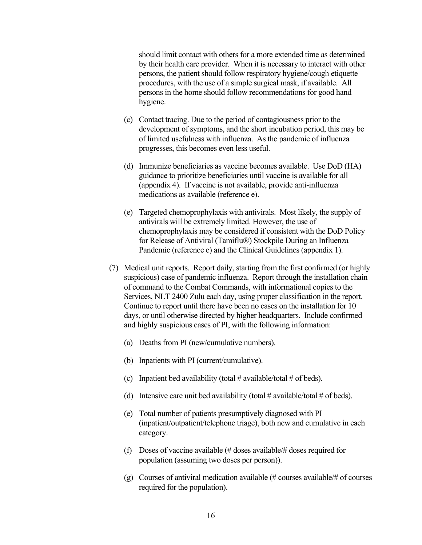should limit contact with others for a more extended time as determined by their health care provider. When it is necessary to interact with other persons, the patient should follow respiratory hygiene/cough etiquette procedures, with the use of a simple surgical mask, if available. All persons in the home should follow recommendations for good hand hygiene.

- (c) Contact tracing. Due to the period of contagiousness prior to the development of symptoms, and the short incubation period, this may be of limited usefulness with influenza. As the pandemic of influenza progresses, this becomes even less useful.
- (d) Immunize beneficiaries as vaccine becomes available. Use DoD (HA) guidance to prioritize beneficiaries until vaccine is available for all (appendix 4). If vaccine is not available, provide anti-influenza medications as available (reference e).
- (e) Targeted chemoprophylaxis with antivirals. Most likely, the supply of antivirals will be extremely limited. However, the use of chemoprophylaxis may be considered if consistent with the DoD Policy for Release of Antiviral (Tamiflu®) Stockpile During an Influenza Pandemic (reference e) and the Clinical Guidelines (appendix 1).
- (7) Medical unit reports. Report daily, starting from the first confirmed (or highly suspicious) case of pandemic influenza. Report through the installation chain of command to the Combat Commands, with informational copies to the Services, NLT 2400 Zulu each day, using proper classification in the report. Continue to report until there have been no cases on the installation for 10 days, or until otherwise directed by higher headquarters. Include confirmed and highly suspicious cases of PI, with the following information:
	- (a) Deaths from PI (new/cumulative numbers).
	- (b) Inpatients with PI (current/cumulative).
	- (c) Inpatient bed availability (total  $\#$  available/total  $\#$  of beds).
	- (d) Intensive care unit bed availability (total  $\#$  available/total  $\#$  of beds).
	- (e) Total number of patients presumptively diagnosed with PI (inpatient/outpatient/telephone triage), both new and cumulative in each category.
	- (f) Doses of vaccine available (# doses available/# doses required for population (assuming two doses per person)).
	- (g) Courses of antiviral medication available (# courses available/# of courses required for the population).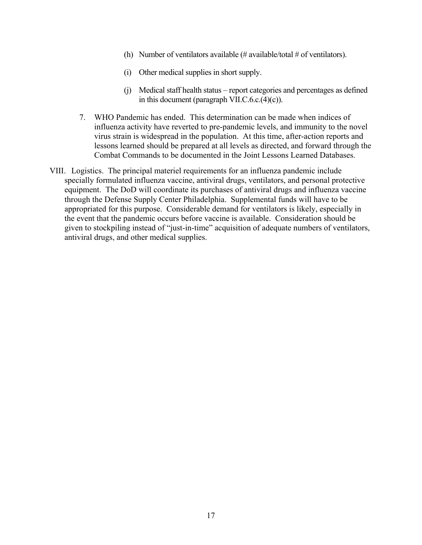- (h) Number of ventilators available (# available/total # of ventilators).
- (i) Other medical supplies in short supply.
- (j) Medical staff health status report categories and percentages as defined in this document (paragraph VII.C.6.c.(4)(c)).
- 7. WHO Pandemic has ended. This determination can be made when indices of influenza activity have reverted to pre-pandemic levels, and immunity to the novel virus strain is widespread in the population. At this time, after-action reports and lessons learned should be prepared at all levels as directed, and forward through the Combat Commands to be documented in the Joint Lessons Learned Databases.
- VIII. Logistics. The principal materiel requirements for an influenza pandemic include specially formulated influenza vaccine, antiviral drugs, ventilators, and personal protective equipment. The DoD will coordinate its purchases of antiviral drugs and influenza vaccine through the Defense Supply Center Philadelphia. Supplemental funds will have to be appropriated for this purpose. Considerable demand for ventilators is likely, especially in the event that the pandemic occurs before vaccine is available. Consideration should be given to stockpiling instead of "just-in-time" acquisition of adequate numbers of ventilators, antiviral drugs, and other medical supplies.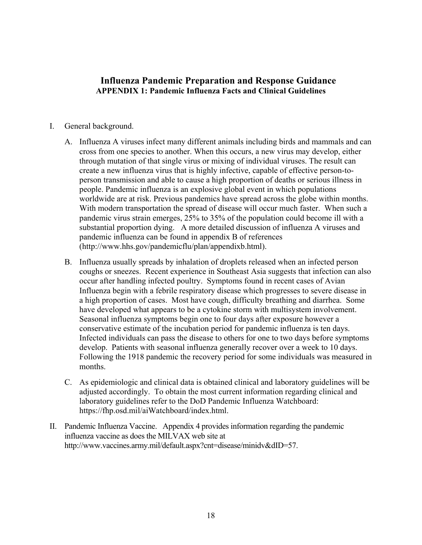# **Influenza Pandemic Preparation and Response Guidance APPENDIX 1: Pandemic Influenza Facts and Clinical Guidelines**

#### I. General background.

- A. Influenza A viruses infect many different animals including birds and mammals and can cross from one species to another. When this occurs, a new virus may develop, either through mutation of that single virus or mixing of individual viruses. The result can create a new influenza virus that is highly infective, capable of effective person-toperson transmission and able to cause a high proportion of deaths or serious illness in people. Pandemic influenza is an explosive global event in which populations worldwide are at risk. Previous pandemics have spread across the globe within months. With modern transportation the spread of disease will occur much faster. When such a pandemic virus strain emerges, 25% to 35% of the population could become ill with a substantial proportion dying. A more detailed discussion of influenza A viruses and pandemic influenza can be found in appendix B of references (http://www.hhs.gov/pandemicflu/plan/appendixb.html).
- B. Influenza usually spreads by inhalation of droplets released when an infected person coughs or sneezes. Recent experience in Southeast Asia suggests that infection can also occur after handling infected poultry. Symptoms found in recent cases of Avian Influenza begin with a febrile respiratory disease which progresses to severe disease in a high proportion of cases. Most have cough, difficulty breathing and diarrhea. Some have developed what appears to be a cytokine storm with multisystem involvement. Seasonal influenza symptoms begin one to four days after exposure however a conservative estimate of the incubation period for pandemic influenza is ten days. Infected individuals can pass the disease to others for one to two days before symptoms develop. Patients with seasonal influenza generally recover over a week to 10 days. Following the 1918 pandemic the recovery period for some individuals was measured in months.
- C. As epidemiologic and clinical data is obtained clinical and laboratory guidelines will be adjusted accordingly. To obtain the most current information regarding clinical and laboratory guidelines refer to the DoD Pandemic Influenza Watchboard: https://fhp.osd.mil/aiWatchboard/index.html.
- II. Pandemic Influenza Vaccine. Appendix 4 provides information regarding the pandemic influenza vaccine as does the MILVAX web site at http://www.vaccines.army.mil/default.aspx?cnt=disease/minidv&dID=57.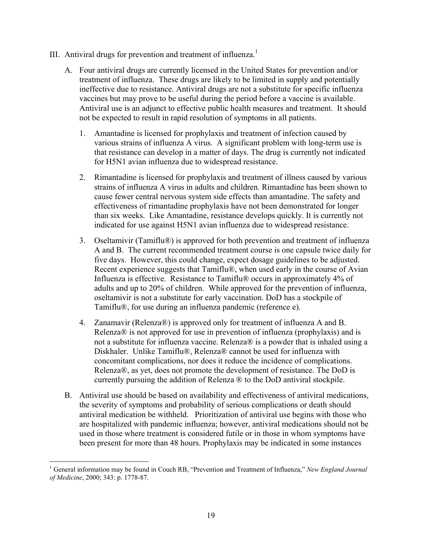- III. Antiviral drugs for prevention and treatment of influenza.<sup>1</sup>
	- A. Four antiviral drugs are currently licensed in the United States for prevention and/or treatment of influenza. These drugs are likely to be limited in supply and potentially ineffective due to resistance. Antiviral drugs are not a substitute for specific influenza vaccines but may prove to be useful during the period before a vaccine is available. Antiviral use is an adjunct to effective public health measures and treatment. It should not be expected to result in rapid resolution of symptoms in all patients.
		- 1. Amantadine is licensed for prophylaxis and treatment of infection caused by various strains of influenza A virus. A significant problem with long-term use is that resistance can develop in a matter of days. The drug is currently not indicated for H5N1 avian influenza due to widespread resistance.
		- 2. Rimantadine is licensed for prophylaxis and treatment of illness caused by various strains of influenza A virus in adults and children. Rimantadine has been shown to cause fewer central nervous system side effects than amantadine. The safety and effectiveness of rimantadine prophylaxis have not been demonstrated for longer than six weeks. Like Amantadine, resistance develops quickly. It is currently not indicated for use against H5N1 avian influenza due to widespread resistance.
		- 3. Oseltamivir (Tamiflu®) is approved for both prevention and treatment of influenza A and B. The current recommended treatment course is one capsule twice daily for five days. However, this could change, expect dosage guidelines to be adjusted. Recent experience suggests that Tamiflu®, when used early in the course of Avian Influenza is effective. Resistance to Tamiflu® occurs in approximately 4% of adults and up to 20% of children. While approved for the prevention of influenza, oseltamivir is not a substitute for early vaccination. DoD has a stockpile of Tamiflu®, for use during an influenza pandemic (reference e).
		- 4. Zanamavir (Relenza®) is approved only for treatment of influenza A and B. Relenza® is not approved for use in prevention of influenza (prophylaxis) and is not a substitute for influenza vaccine. Relenza® is a powder that is inhaled using a Diskhaler. Unlike Tamiflu®, Relenza® cannot be used for influenza with concomitant complications, nor does it reduce the incidence of complications. Relenza®, as yet, does not promote the development of resistance. The DoD is currently pursuing the addition of Relenza ® to the DoD antiviral stockpile.
	- B. Antiviral use should be based on availability and effectiveness of antiviral medications, the severity of symptoms and probability of serious complications or death should antiviral medication be withheld. Prioritization of antiviral use begins with those who are hospitalized with pandemic influenza; however, antiviral medications should not be used in those where treatment is considered futile or in those in whom symptoms have been present for more than 48 hours. Prophylaxis may be indicated in some instances

 $\overline{a}$ <sup>1</sup> General information may be found in Couch RB, "Prevention and Treatment of Influenza," *New England Journal of Medicine*, 2000; 343: p. 1778-87.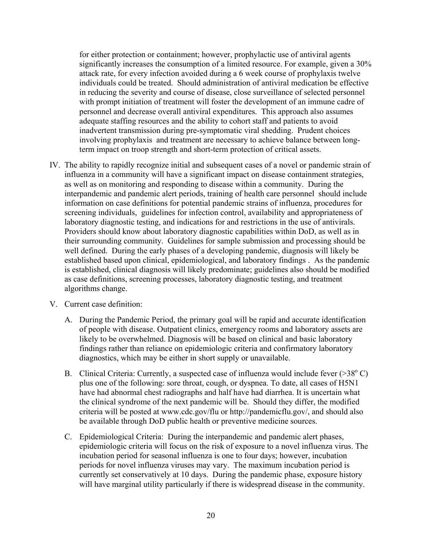for either protection or containment; however, prophylactic use of antiviral agents significantly increases the consumption of a limited resource. For example, given a 30% attack rate, for every infection avoided during a 6 week course of prophylaxis twelve individuals could be treated. Should administration of antiviral medication be effective in reducing the severity and course of disease, close surveillance of selected personnel with prompt initiation of treatment will foster the development of an immune cadre of personnel and decrease overall antiviral expenditures. This approach also assumes adequate staffing resources and the ability to cohort staff and patients to avoid inadvertent transmission during pre-symptomatic viral shedding. Prudent choices involving prophylaxis and treatment are necessary to achieve balance between longterm impact on troop strength and short-term protection of critical assets.

- IV. The ability to rapidly recognize initial and subsequent cases of a novel or pandemic strain of influenza in a community will have a significant impact on disease containment strategies, as well as on monitoring and responding to disease within a community. During the interpandemic and pandemic alert periods, training of health care personnel should include information on case definitions for potential pandemic strains of influenza, procedures for screening individuals, guidelines for infection control, availability and appropriateness of laboratory diagnostic testing, and indications for and restrictions in the use of antivirals. Providers should know about laboratory diagnostic capabilities within DoD, as well as in their surrounding community. Guidelines for sample submission and processing should be well defined. During the early phases of a developing pandemic, diagnosis will likely be established based upon clinical, epidemiological, and laboratory findings . As the pandemic is established, clinical diagnosis will likely predominate; guidelines also should be modified as case definitions, screening processes, laboratory diagnostic testing, and treatment algorithms change.
- V. Current case definition:
	- A. During the Pandemic Period, the primary goal will be rapid and accurate identification of people with disease. Outpatient clinics, emergency rooms and laboratory assets are likely to be overwhelmed. Diagnosis will be based on clinical and basic laboratory findings rather than reliance on epidemiologic criteria and confirmatory laboratory diagnostics, which may be either in short supply or unavailable.
	- B. Clinical Criteria: Currently, a suspected case of influenza would include fever  $(>38^{\circ} C)$ plus one of the following: sore throat, cough, or dyspnea. To date, all cases of H5N1 have had abnormal chest radiographs and half have had diarrhea. It is uncertain what the clinical syndrome of the next pandemic will be. Should they differ, the modified criteria will be posted at www.cdc.gov/flu or http://pandemicflu.gov/, and should also be available through DoD public health or preventive medicine sources.
	- C. Epidemiological Criteria: During the interpandemic and pandemic alert phases, epidemiologic criteria will focus on the risk of exposure to a novel influenza virus. The incubation period for seasonal influenza is one to four days; however, incubation periods for novel influenza viruses may vary. The maximum incubation period is currently set conservatively at 10 days. During the pandemic phase, exposure history will have marginal utility particularly if there is widespread disease in the community.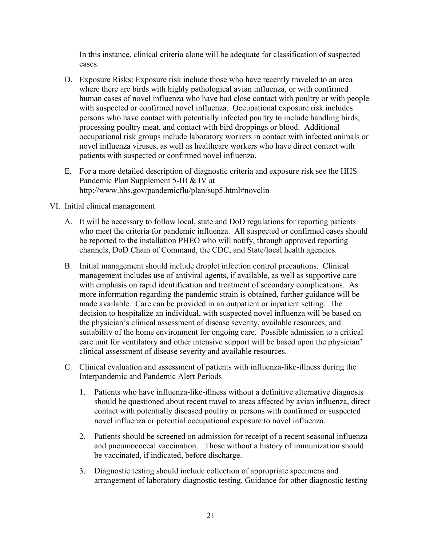In this instance, clinical criteria alone will be adequate for classification of suspected cases.

- D. Exposure Risks: Exposure risk include those who have recently traveled to an area where there are birds with highly pathological avian influenza, or with confirmed human cases of novel influenza who have had close contact with poultry or with people with suspected or confirmed novel influenza. Occupational exposure risk includes persons who have contact with potentially infected poultry to include handling birds, processing poultry meat, and contact with bird droppings or blood. Additional occupational risk groups include laboratory workers in contact with infected animals or novel influenza viruses, as well as healthcare workers who have direct contact with patients with suspected or confirmed novel influenza.
- E. For a more detailed description of diagnostic criteria and exposure risk see the HHS Pandemic Plan Supplement 5-III & IV at http://www.hhs.gov/pandemicflu/plan/sup5.html#novclin

#### VI. Initial clinical management

- A. It will be necessary to follow local, state and DoD regulations for reporting patients who meet the criteria for pandemic influenza. All suspected or confirmed cases should be reported to the installation PHEO who will notify, through approved reporting channels, DoD Chain of Command, the CDC, and State/local health agencies.
- B. Initial management should include droplet infection control precautions. Clinical management includes use of antiviral agents, if available, as well as supportive care with emphasis on rapid identification and treatment of secondary complications. As more information regarding the pandemic strain is obtained, further guidance will be made available. Care can be provided in an outpatient or inpatient setting. The decision to hospitalize an individual, with suspected novel influenza will be based on the physician's clinical assessment of disease severity, available resources, and suitability of the home environment for ongoing care. Possible admission to a critical care unit for ventilatory and other intensive support will be based upon the physician' clinical assessment of disease severity and available resources.
- C. Clinical evaluation and assessment of patients with influenza-like-illness during the Interpandemic and Pandemic Alert Periods
	- 1. Patients who have influenza-like-illness without a definitive alternative diagnosis should be questioned about recent travel to areas affected by avian influenza, direct contact with potentially diseased poultry or persons with confirmed or suspected novel influenza or potential occupational exposure to novel influenza.
	- 2. Patients should be screened on admission for receipt of a recent seasonal influenza and pneumococcal vaccination. Those without a history of immunization should be vaccinated, if indicated, before discharge.
	- 3. Diagnostic testing should include collection of appropriate specimens and arrangement of laboratory diagnostic testing. Guidance for other diagnostic testing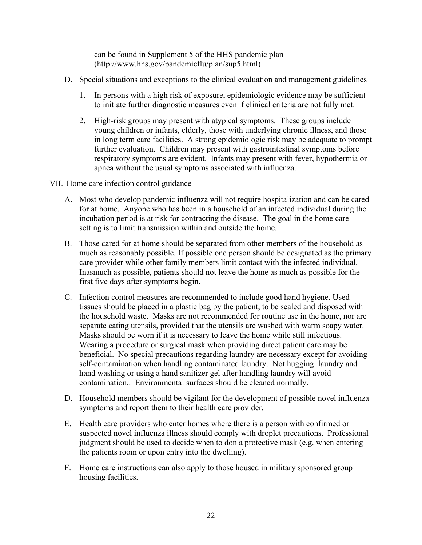can be found in Supplement 5 of the HHS pandemic plan (http://www.hhs.gov/pandemicflu/plan/sup5.html)

- D. Special situations and exceptions to the clinical evaluation and management guidelines
	- 1. In persons with a high risk of exposure, epidemiologic evidence may be sufficient to initiate further diagnostic measures even if clinical criteria are not fully met.
	- 2. High-risk groups may present with atypical symptoms. These groups include young children or infants, elderly, those with underlying chronic illness, and those in long term care facilities. A strong epidemiologic risk may be adequate to prompt further evaluation. Children may present with gastrointestinal symptoms before respiratory symptoms are evident. Infants may present with fever, hypothermia or apnea without the usual symptoms associated with influenza.
- VII. Home care infection control guidance
	- A. Most who develop pandemic influenza will not require hospitalization and can be cared for at home. Anyone who has been in a household of an infected individual during the incubation period is at risk for contracting the disease. The goal in the home care setting is to limit transmission within and outside the home.
	- B. Those cared for at home should be separated from other members of the household as much as reasonably possible. If possible one person should be designated as the primary care provider while other family members limit contact with the infected individual. Inasmuch as possible, patients should not leave the home as much as possible for the first five days after symptoms begin.
	- C. Infection control measures are recommended to include good hand hygiene. Used tissues should be placed in a plastic bag by the patient, to be sealed and disposed with the household waste. Masks are not recommended for routine use in the home, nor are separate eating utensils, provided that the utensils are washed with warm soapy water. Masks should be worn if it is necessary to leave the home while still infectious. Wearing a procedure or surgical mask when providing direct patient care may be beneficial. No special precautions regarding laundry are necessary except for avoiding self-contamination when handling contaminated laundry. Not hugging laundry and hand washing or using a hand sanitizer gel after handling laundry will avoid contamination.. Environmental surfaces should be cleaned normally.
	- D. Household members should be vigilant for the development of possible novel influenza symptoms and report them to their health care provider.
	- E. Health care providers who enter homes where there is a person with confirmed or suspected novel influenza illness should comply with droplet precautions. Professional judgment should be used to decide when to don a protective mask (e.g. when entering the patients room or upon entry into the dwelling).
	- F. Home care instructions can also apply to those housed in military sponsored group housing facilities.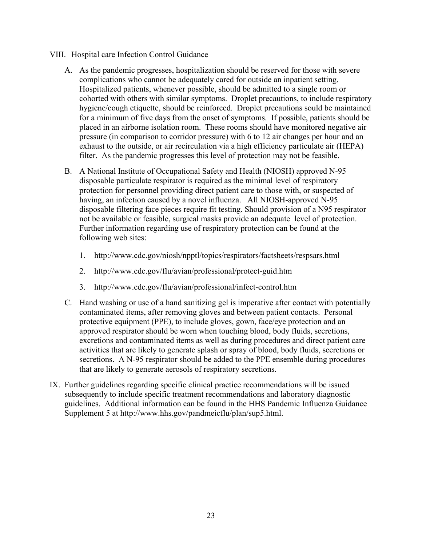- VIII. Hospital care Infection Control Guidance
	- A. As the pandemic progresses, hospitalization should be reserved for those with severe complications who cannot be adequately cared for outside an inpatient setting. Hospitalized patients, whenever possible, should be admitted to a single room or cohorted with others with similar symptoms. Droplet precautions, to include respiratory hygiene/cough etiquette, should be reinforced. Droplet precautions sould be maintained for a minimum of five days from the onset of symptoms. If possible, patients should be placed in an airborne isolation room. These rooms should have monitored negative air pressure (in comparison to corridor pressure) with 6 to 12 air changes per hour and an exhaust to the outside, or air recirculation via a high efficiency particulate air (HEPA) filter. As the pandemic progresses this level of protection may not be feasible.
	- B. A National Institute of Occupational Safety and Health (NIOSH) approved N-95 disposable particulate respirator is required as the minimal level of respiratory protection for personnel providing direct patient care to those with, or suspected of having, an infection caused by a novel influenza. All NIOSH-approved N-95 disposable filtering face pieces require fit testing. Should provision of a N95 respirator not be available or feasible, surgical masks provide an adequate level of protection. Further information regarding use of respiratory protection can be found at the following web sites:
		- 1. http://www.cdc.gov/niosh/npptl/topics/respirators/factsheets/respsars.html
		- 2. http://www.cdc.gov/flu/avian/professional/protect-guid.htm
		- 3. http://www.cdc.gov/flu/avian/professional/infect-control.htm
	- C. Hand washing or use of a hand sanitizing gel is imperative after contact with potentially contaminated items, after removing gloves and between patient contacts. Personal protective equipment (PPE), to include gloves, gown, face/eye protection and an approved respirator should be worn when touching blood, body fluids, secretions, excretions and contaminated items as well as during procedures and direct patient care activities that are likely to generate splash or spray of blood, body fluids, secretions or secretions. A N-95 respirator should be added to the PPE ensemble during procedures that are likely to generate aerosols of respiratory secretions.
- IX. Further guidelines regarding specific clinical practice recommendations will be issued subsequently to include specific treatment recommendations and laboratory diagnostic guidelines. Additional information can be found in the HHS Pandemic Influenza Guidance Supplement 5 at http://www.hhs.gov/pandmeicflu/plan/sup5.html.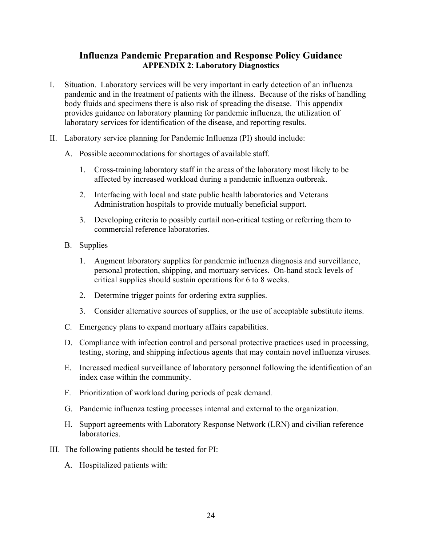## **Influenza Pandemic Preparation and Response Policy Guidance APPENDIX 2**: **Laboratory Diagnostics**

- I. Situation. Laboratory services will be very important in early detection of an influenza pandemic and in the treatment of patients with the illness. Because of the risks of handling body fluids and specimens there is also risk of spreading the disease. This appendix provides guidance on laboratory planning for pandemic influenza, the utilization of laboratory services for identification of the disease, and reporting results.
- II. Laboratory service planning for Pandemic Influenza (PI) should include:
	- A. Possible accommodations for shortages of available staff.
		- 1. Cross-training laboratory staff in the areas of the laboratory most likely to be affected by increased workload during a pandemic influenza outbreak.
		- 2. Interfacing with local and state public health laboratories and Veterans Administration hospitals to provide mutually beneficial support.
		- 3. Developing criteria to possibly curtail non-critical testing or referring them to commercial reference laboratories.
	- B. Supplies
		- 1. Augment laboratory supplies for pandemic influenza diagnosis and surveillance, personal protection, shipping, and mortuary services. On-hand stock levels of critical supplies should sustain operations for 6 to 8 weeks.
		- 2. Determine trigger points for ordering extra supplies.
		- 3. Consider alternative sources of supplies, or the use of acceptable substitute items.
	- C. Emergency plans to expand mortuary affairs capabilities.
	- D. Compliance with infection control and personal protective practices used in processing, testing, storing, and shipping infectious agents that may contain novel influenza viruses.
	- E. Increased medical surveillance of laboratory personnel following the identification of an index case within the community.
	- F. Prioritization of workload during periods of peak demand.
	- G. Pandemic influenza testing processes internal and external to the organization.
	- H. Support agreements with Laboratory Response Network (LRN) and civilian reference **laboratories**
- III. The following patients should be tested for PI:
	- A. Hospitalized patients with: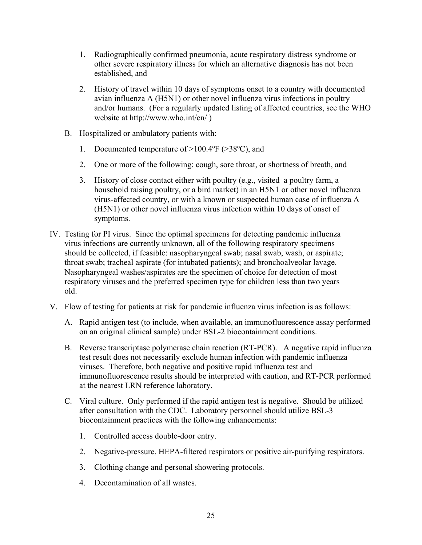- 1. Radiographically confirmed pneumonia, acute respiratory distress syndrome or other severe respiratory illness for which an alternative diagnosis has not been established, and
- 2. History of travel within 10 days of symptoms onset to a country with documented avian influenza A (H5N1) or other novel influenza virus infections in poultry and/or humans. (For a regularly updated listing of affected countries, see the WHO website at http://www.who.int/en/ )
- B. Hospitalized or ambulatory patients with:
	- 1. Documented temperature of >100.4ºF (>38ºC), and
	- 2. One or more of the following: cough, sore throat, or shortness of breath, and
	- 3. History of close contact either with poultry (e.g., visited a poultry farm, a household raising poultry, or a bird market) in an H5N1 or other novel influenza virus-affected country, or with a known or suspected human case of influenza A (H5N1) or other novel influenza virus infection within 10 days of onset of symptoms.
- IV. Testing for PI virus. Since the optimal specimens for detecting pandemic influenza virus infections are currently unknown, all of the following respiratory specimens should be collected, if feasible: nasopharyngeal swab; nasal swab, wash, or aspirate; throat swab; tracheal aspirate (for intubated patients); and bronchoalveolar lavage. Nasopharyngeal washes/aspirates are the specimen of choice for detection of most respiratory viruses and the preferred specimen type for children less than two years old.
- V. Flow of testing for patients at risk for pandemic influenza virus infection is as follows:
	- A. Rapid antigen test (to include, when available, an immunofluorescence assay performed on an original clinical sample) under BSL-2 biocontainment conditions.
	- B. Reverse transcriptase polymerase chain reaction (RT-PCR).A negative rapid influenza test result does not necessarily exclude human infection with pandemic influenza viruses. Therefore, both negative and positive rapid influenza test and immunofluorescence results should be interpreted with caution, and RT-PCR performed at the nearest LRN reference laboratory.
	- C. Viral culture. Only performed if the rapid antigen test is negative. Should be utilized after consultation with the CDC. Laboratory personnel should utilize BSL-3 biocontainment practices with the following enhancements:
		- 1. Controlled access double-door entry.
		- 2. Negative-pressure, HEPA-filtered respirators or positive air-purifying respirators.
		- 3. Clothing change and personal showering protocols.
		- 4. Decontamination of all wastes.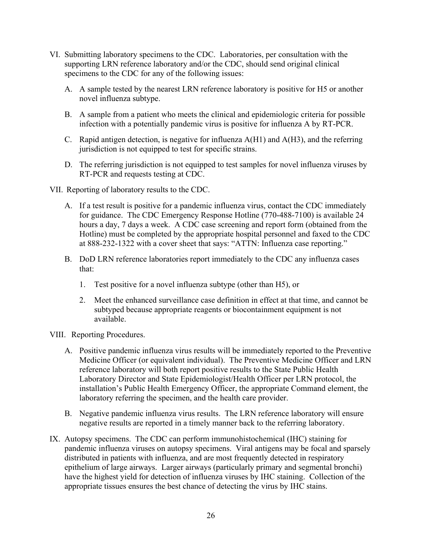- VI. Submitting laboratory specimens to the CDC. Laboratories, per consultation with the supporting LRN reference laboratory and/or the CDC, should send original clinical specimens to the CDC for any of the following issues:
	- A. A sample tested by the nearest LRN reference laboratory is positive for H5 or another novel influenza subtype.
	- B. A sample from a patient who meets the clinical and epidemiologic criteria for possible infection with a potentially pandemic virus is positive for influenza A by RT-PCR.
	- C. Rapid antigen detection, is negative for influenza A(H1) and A(H3), and the referring jurisdiction is not equipped to test for specific strains.
	- D. The referring jurisdiction is not equipped to test samples for novel influenza viruses by RT-PCR and requests testing at CDC.
- VII. Reporting of laboratory results to the CDC.
	- A. If a test result is positive for a pandemic influenza virus, contact the CDC immediately for guidance. The CDC Emergency Response Hotline (770-488-7100) is available 24 hours a day, 7 days a week. A CDC case screening and report form (obtained from the Hotline) must be completed by the appropriate hospital personnel and faxed to the CDC at 888-232-1322 with a cover sheet that says: "ATTN: Influenza case reporting."
	- B. DoD LRN reference laboratories report immediately to the CDC any influenza cases that:
		- 1. Test positive for a novel influenza subtype (other than H5), or
		- 2. Meet the enhanced surveillance case definition in effect at that time, and cannot be subtyped because appropriate reagents or biocontainment equipment is not available.
- VIII. Reporting Procedures.
	- A. Positive pandemic influenza virus results will be immediately reported to the Preventive Medicine Officer (or equivalent individual). The Preventive Medicine Officer and LRN reference laboratory will both report positive results to the State Public Health Laboratory Director and State Epidemiologist/Health Officer per LRN protocol, the installation's Public Health Emergency Officer, the appropriate Command element, the laboratory referring the specimen, and the health care provider.
	- B. Negative pandemic influenza virus results. The LRN reference laboratory will ensure negative results are reported in a timely manner back to the referring laboratory.
- IX. Autopsy specimens. The CDC can perform immunohistochemical (IHC) staining for pandemic influenza viruses on autopsy specimens. Viral antigens may be focal and sparsely distributed in patients with influenza, and are most frequently detected in respiratory epithelium of large airways. Larger airways (particularly primary and segmental bronchi) have the highest yield for detection of influenza viruses by IHC staining. Collection of the appropriate tissues ensures the best chance of detecting the virus by IHC stains.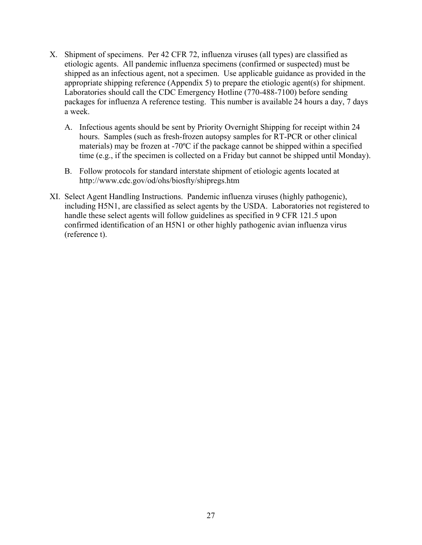- X. Shipment of specimens. Per 42 CFR 72, influenza viruses (all types) are classified as etiologic agents. All pandemic influenza specimens (confirmed or suspected) must be shipped as an infectious agent, not a specimen. Use applicable guidance as provided in the appropriate shipping reference (Appendix 5) to prepare the etiologic agent(s) for shipment. Laboratories should call the CDC Emergency Hotline (770-488-7100) before sending packages for influenza A reference testing. This number is available 24 hours a day, 7 days a week.
	- A. Infectious agents should be sent by Priority Overnight Shipping for receipt within 24 hours. Samples (such as fresh-frozen autopsy samples for RT-PCR or other clinical materials) may be frozen at -70ºC if the package cannot be shipped within a specified time (e.g., if the specimen is collected on a Friday but cannot be shipped until Monday).
	- B. Follow protocols for standard interstate shipment of etiologic agents located at http://www.cdc.gov/od/ohs/biosfty/shipregs.htm
- XI. Select Agent Handling Instructions. Pandemic influenza viruses (highly pathogenic), including H5N1, are classified as select agents by the USDA. Laboratories not registered to handle these select agents will follow guidelines as specified in 9 CFR 121.5 upon confirmed identification of an H5N1 or other highly pathogenic avian influenza virus (reference t).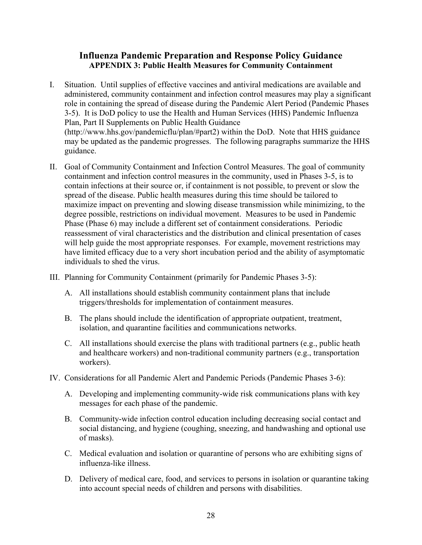## **Influenza Pandemic Preparation and Response Policy Guidance APPENDIX 3: Public Health Measures for Community Containment**

- I. Situation. Until supplies of effective vaccines and antiviral medications are available and administered, community containment and infection control measures may play a significant role in containing the spread of disease during the Pandemic Alert Period (Pandemic Phases 3-5). It is DoD policy to use the Health and Human Services (HHS) Pandemic Influenza Plan, Part II Supplements on Public Health Guidance (http://www.hhs.gov/pandemicflu/plan/#part2) within the DoD. Note that HHS guidance may be updated as the pandemic progresses. The following paragraphs summarize the HHS guidance.
- II. Goal of Community Containment and Infection Control Measures. The goal of community containment and infection control measures in the community, used in Phases 3-5, is to contain infections at their source or, if containment is not possible, to prevent or slow the spread of the disease. Public health measures during this time should be tailored to maximize impact on preventing and slowing disease transmission while minimizing, to the degree possible, restrictions on individual movement. Measures to be used in Pandemic Phase (Phase 6) may include a different set of containment considerations. Periodic reassessment of viral characteristics and the distribution and clinical presentation of cases will help guide the most appropriate responses. For example, movement restrictions may have limited efficacy due to a very short incubation period and the ability of asymptomatic individuals to shed the virus.
- III. Planning for Community Containment (primarily for Pandemic Phases 3-5):
	- A. All installations should establish community containment plans that include triggers/thresholds for implementation of containment measures.
	- B. The plans should include the identification of appropriate outpatient, treatment, isolation, and quarantine facilities and communications networks.
	- C. All installations should exercise the plans with traditional partners (e.g., public heath and healthcare workers) and non-traditional community partners (e.g., transportation workers).
- IV. Considerations for all Pandemic Alert and Pandemic Periods (Pandemic Phases 3-6):
	- A. Developing and implementing community-wide risk communications plans with key messages for each phase of the pandemic.
	- B. Community-wide infection control education including decreasing social contact and social distancing, and hygiene (coughing, sneezing, and handwashing and optional use of masks).
	- C. Medical evaluation and isolation or quarantine of persons who are exhibiting signs of influenza-like illness.
	- D. Delivery of medical care, food, and services to persons in isolation or quarantine taking into account special needs of children and persons with disabilities.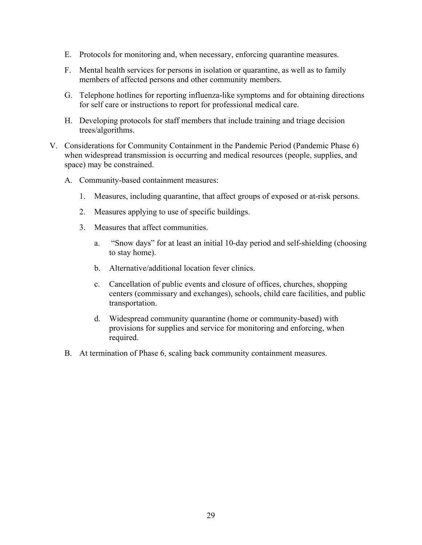- E. Protocols for monitoring and, when necessary, enforcing quarantine measures.
- F. Mental health services for persons in isolation or quarantine, as well as to family members of affected persons and other community members.
- G. Telephone hotlines for reporting influenza-like symptoms and for obtaining directions for self care or instructions to report for professional medical care.
- H. Developing protocols for staff members that include training and triage decision trees/algorithms.
- V. Considerations for Community Containment in the Pandemic Period (Pandemic Phase 6) when widespread transmission is occurring and medical resources (people, supplies, and space) may be constrained.
	- A. Community-based containment measures:
		- 1. Measures, including quarantine, that affect groups of exposed or at-risk persons.
		- 2. Measures applying to use of specific buildings.
		- 3. Measures that affect communities.
			- a. "Snow days" for at least an initial 10-day period and self-shielding (choosing to stay home).
			- b. Alternative/additional location fever clinics.
			- c. Cancellation of public events and closure of offices, churches, shopping centers (commissary and exchanges), schools, child care facilities, and public transportation.
			- d. Widespread community quarantine (home or community-based) with provisions for supplies and service for monitoring and enforcing, when required.
	- B. At termination of Phase 6, scaling back community containment measures.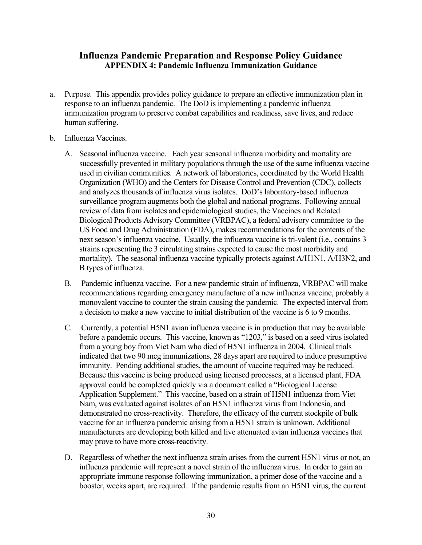#### **Influenza Pandemic Preparation and Response Policy Guidance APPENDIX 4: Pandemic Influenza Immunization Guidance**

- a. Purpose. This appendix provides policy guidance to prepare an effective immunization plan in response to an influenza pandemic. The DoD is implementing a pandemic influenza immunization program to preserve combat capabilities and readiness, save lives, and reduce human suffering.
- b. Influenza Vaccines.
	- A. Seasonal influenza vaccine. Each year seasonal influenza morbidity and mortality are successfully prevented in military populations through the use of the same influenza vaccine used in civilian communities. A network of laboratories, coordinated by the World Health Organization (WHO) and the Centers for Disease Control and Prevention (CDC), collects and analyzes thousands of influenza virus isolates. DoD's laboratory-based influenza surveillance program augments both the global and national programs. Following annual review of data from isolates and epidemiological studies, the Vaccines and Related Biological Products Advisory Committee (VRBPAC), a federal advisory committee to the US Food and Drug Administration (FDA), makes recommendations for the contents of the next season's influenza vaccine. Usually, the influenza vaccine is tri-valent (i.e., contains 3 strains representing the 3 circulating strains expected to cause the most morbidity and mortality). The seasonal influenza vaccine typically protects against A/H1N1, A/H3N2, and B types of influenza.
	- B. Pandemic influenza vaccine. For a new pandemic strain of influenza, VRBPAC will make recommendations regarding emergency manufacture of a new influenza vaccine, probably a monovalent vaccine to counter the strain causing the pandemic. The expected interval from a decision to make a new vaccine to initial distribution of the vaccine is 6 to 9 months.
	- C. Currently, a potential H5N1 avian influenza vaccine is in production that may be available before a pandemic occurs. This vaccine, known as "1203," is based on a seed virus isolated from a young boy from Viet Nam who died of H5N1 influenza in 2004. Clinical trials indicated that two 90 mcg immunizations, 28 days apart are required to induce presumptive immunity. Pending additional studies, the amount of vaccine required may be reduced. Because this vaccine is being produced using licensed processes, at a licensed plant, FDA approval could be completed quickly via a document called a "Biological License Application Supplement." This vaccine, based on a strain of H5N1 influenza from Viet Nam, was evaluated against isolates of an H5N1 influenza virus from Indonesia, and demonstrated no cross-reactivity. Therefore, the efficacy of the current stockpile of bulk vaccine for an influenza pandemic arising from a H5N1 strain is unknown. Additional manufacturers are developing both killed and live attenuated avian influenza vaccines that may prove to have more cross-reactivity.
	- D. Regardless of whether the next influenza strain arises from the current H5N1 virus or not, an influenza pandemic will represent a novel strain of the influenza virus. In order to gain an appropriate immune response following immunization, a primer dose of the vaccine and a booster, weeks apart, are required. If the pandemic results from an H5N1 virus, the current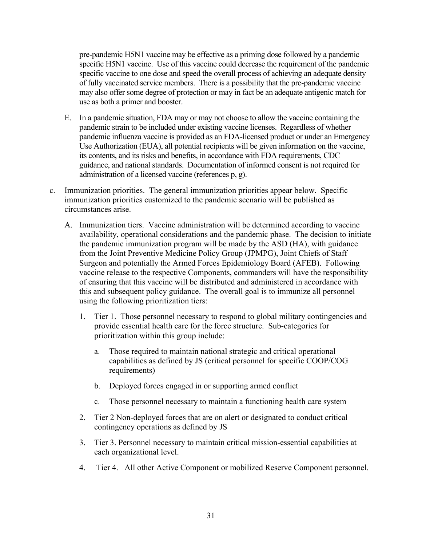pre-pandemic H5N1 vaccine may be effective as a priming dose followed by a pandemic specific H5N1 vaccine. Use of this vaccine could decrease the requirement of the pandemic specific vaccine to one dose and speed the overall process of achieving an adequate density of fully vaccinated service members. There is a possibility that the pre-pandemic vaccine may also offer some degree of protection or may in fact be an adequate antigenic match for use as both a primer and booster.

- E. In a pandemic situation, FDA may or may not choose to allow the vaccine containing the pandemic strain to be included under existing vaccine licenses. Regardless of whether pandemic influenza vaccine is provided as an FDA-licensed product or under an Emergency Use Authorization (EUA), all potential recipients will be given information on the vaccine, its contents, and its risks and benefits, in accordance with FDA requirements, CDC guidance, and national standards. Documentation of informed consent is not required for administration of a licensed vaccine (references p, g).
- c. Immunization priorities. The general immunization priorities appear below. Specific immunization priorities customized to the pandemic scenario will be published as circumstances arise.
	- A. Immunization tiers. Vaccine administration will be determined according to vaccine availability, operational considerations and the pandemic phase. The decision to initiate the pandemic immunization program will be made by the ASD (HA), with guidance from the Joint Preventive Medicine Policy Group (JPMPG), Joint Chiefs of Staff Surgeon and potentially the Armed Forces Epidemiology Board (AFEB). Following vaccine release to the respective Components, commanders will have the responsibility of ensuring that this vaccine will be distributed and administered in accordance with this and subsequent policy guidance. The overall goal is to immunize all personnel using the following prioritization tiers:
		- 1. Tier 1. Those personnel necessary to respond to global military contingencies and provide essential health care for the force structure. Sub-categories for prioritization within this group include:
			- a. Those required to maintain national strategic and critical operational capabilities as defined by JS (critical personnel for specific COOP/COG requirements)
			- b. Deployed forces engaged in or supporting armed conflict
			- c. Those personnel necessary to maintain a functioning health care system
		- 2. Tier 2 Non-deployed forces that are on alert or designated to conduct critical contingency operations as defined by JS
		- 3. Tier 3. Personnel necessary to maintain critical mission-essential capabilities at each organizational level.
		- 4. Tier 4. All other Active Component or mobilized Reserve Component personnel.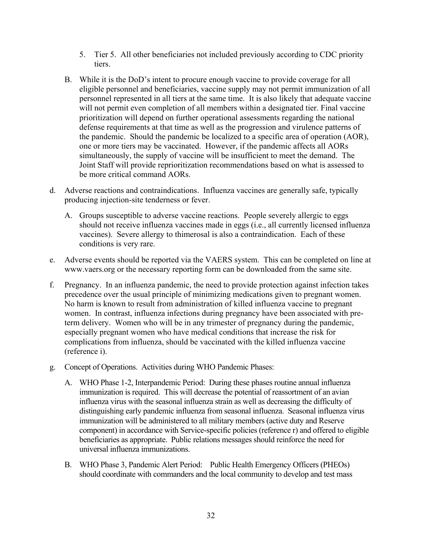- 5. Tier 5. All other beneficiaries not included previously according to CDC priority tiers.
- B. While it is the DoD's intent to procure enough vaccine to provide coverage for all eligible personnel and beneficiaries, vaccine supply may not permit immunization of all personnel represented in all tiers at the same time. It is also likely that adequate vaccine will not permit even completion of all members within a designated tier. Final vaccine prioritization will depend on further operational assessments regarding the national defense requirements at that time as well as the progression and virulence patterns of the pandemic. Should the pandemic be localized to a specific area of operation (AOR), one or more tiers may be vaccinated. However, if the pandemic affects all AORs simultaneously, the supply of vaccine will be insufficient to meet the demand. The Joint Staff will provide reprioritization recommendations based on what is assessed to be more critical command AORs.
- d. Adverse reactions and contraindications. Influenza vaccines are generally safe, typically producing injection-site tenderness or fever.
	- A. Groups susceptible to adverse vaccine reactions. People severely allergic to eggs should not receive influenza vaccines made in eggs (i.e., all currently licensed influenza vaccines). Severe allergy to thimerosal is also a contraindication. Each of these conditions is very rare.
- e. Adverse events should be reported via the VAERS system. This can be completed on line at www.vaers.org or the necessary reporting form can be downloaded from the same site.
- f. Pregnancy. In an influenza pandemic, the need to provide protection against infection takes precedence over the usual principle of minimizing medications given to pregnant women. No harm is known to result from administration of killed influenza vaccine to pregnant women. In contrast, influenza infections during pregnancy have been associated with preterm delivery. Women who will be in any trimester of pregnancy during the pandemic, especially pregnant women who have medical conditions that increase the risk for complications from influenza, should be vaccinated with the killed influenza vaccine (reference i).
- g. Concept of Operations. Activities during WHO Pandemic Phases:
	- A. WHO Phase 1-2, Interpandemic Period: During these phases routine annual influenza immunization is required. This will decrease the potential of reassortment of an avian influenza virus with the seasonal influenza strain as well as decreasing the difficulty of distinguishing early pandemic influenza from seasonal influenza. Seasonal influenza virus immunization will be administered to all military members (active duty and Reserve component) in accordance with Service-specific policies (reference r) and offered to eligible beneficiaries as appropriate. Public relations messages should reinforce the need for universal influenza immunizations.
	- B. WHO Phase 3, Pandemic Alert Period: Public Health Emergency Officers (PHEOs) should coordinate with commanders and the local community to develop and test mass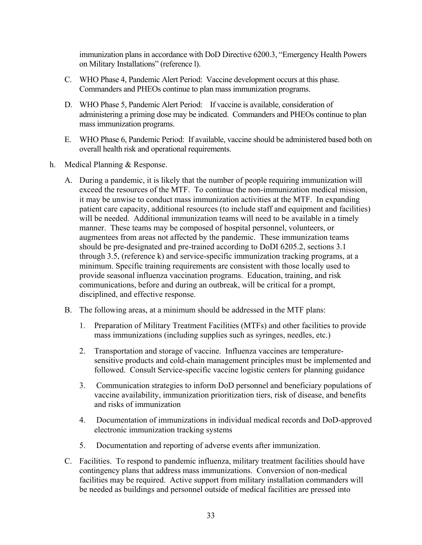immunization plans in accordance with DoD Directive 6200.3, "Emergency Health Powers on Military Installations" (reference l).

- C. WHO Phase 4, Pandemic Alert Period: Vaccine development occurs at this phase. Commanders and PHEOs continue to plan mass immunization programs.
- D. WHO Phase 5, Pandemic Alert Period: If vaccine is available, consideration of administering a priming dose may be indicated. Commanders and PHEOs continue to plan mass immunization programs.
- E. WHO Phase 6, Pandemic Period: If available, vaccine should be administered based both on overall health risk and operational requirements.
- h. Medical Planning & Response.
	- A. During a pandemic, it is likely that the number of people requiring immunization will exceed the resources of the MTF. To continue the non-immunization medical mission, it may be unwise to conduct mass immunization activities at the MTF. In expanding patient care capacity, additional resources (to include staff and equipment and facilities) will be needed. Additional immunization teams will need to be available in a timely manner. These teams may be composed of hospital personnel, volunteers, or augmentees from areas not affected by the pandemic. These immunization teams should be pre-designated and pre-trained according to DoDI 6205.2, sections 3.1 through 3.5, (reference k) and service-specific immunization tracking programs, at a minimum. Specific training requirements are consistent with those locally used to provide seasonal influenza vaccination programs. Education, training, and risk communications, before and during an outbreak, will be critical for a prompt, disciplined, and effective response.
	- B. The following areas, at a minimum should be addressed in the MTF plans:
		- 1. Preparation of Military Treatment Facilities (MTFs) and other facilities to provide mass immunizations (including supplies such as syringes, needles, etc.)
		- 2. Transportation and storage of vaccine. Influenza vaccines are temperaturesensitive products and cold-chain management principles must be implemented and followed. Consult Service-specific vaccine logistic centers for planning guidance
		- 3. Communication strategies to inform DoD personnel and beneficiary populations of vaccine availability, immunization prioritization tiers, risk of disease, and benefits and risks of immunization
		- 4. Documentation of immunizations in individual medical records and DoD-approved electronic immunization tracking systems
		- 5. Documentation and reporting of adverse events after immunization.
	- C. Facilities. To respond to pandemic influenza, military treatment facilities should have contingency plans that address mass immunizations. Conversion of non-medical facilities may be required. Active support from military installation commanders will be needed as buildings and personnel outside of medical facilities are pressed into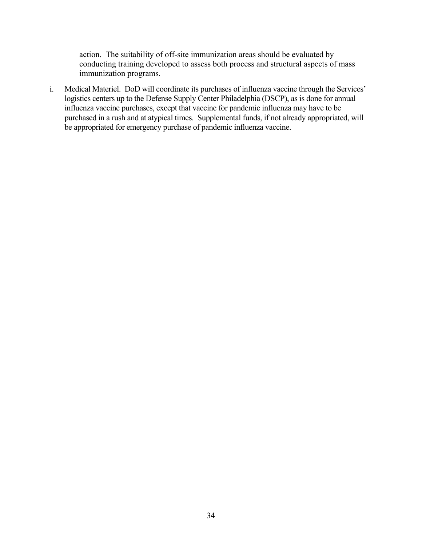action. The suitability of off-site immunization areas should be evaluated by conducting training developed to assess both process and structural aspects of mass immunization programs.

i. Medical Materiel. DoD will coordinate its purchases of influenza vaccine through the Services' logistics centers up to the Defense Supply Center Philadelphia (DSCP), as is done for annual influenza vaccine purchases, except that vaccine for pandemic influenza may have to be purchased in a rush and at atypical times. Supplemental funds, if not already appropriated, will be appropriated for emergency purchase of pandemic influenza vaccine.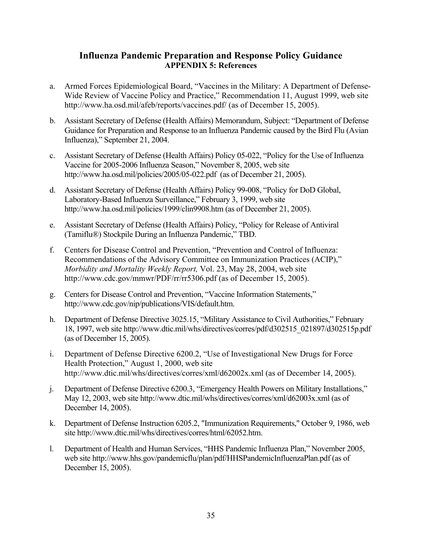## **Influenza Pandemic Preparation and Response Policy Guidance APPENDIX 5: References**

- a. Armed Forces Epidemiological Board, "Vaccines in the Military: A Department of Defense-Wide Review of Vaccine Policy and Practice," Recommendation 11, August 1999, web site http://www.ha.osd.mil/afeb/reports/vaccines.pdf/ (as of December 15, 2005).
- b. Assistant Secretary of Defense (Health Affairs) Memorandum, Subject: "Department of Defense Guidance for Preparation and Response to an Influenza Pandemic caused by the Bird Flu (Avian Influenza)," September 21, 2004.
- c. Assistant Secretary of Defense (Health Affairs) Policy 05-022, "Policy for the Use of Influenza Vaccine for 2005-2006 Influenza Season," November 8, 2005, web site http://www.ha.osd.mil/policies/2005/05-022.pdf (as of December 21, 2005).
- d. Assistant Secretary of Defense (Health Affairs) Policy 99-008, "Policy for DoD Global, Laboratory-Based Influenza Surveillance," February 3, 1999, web site http://www.ha.osd.mil/policies/1999/clin9908.htm (as of December 21, 2005).
- e. Assistant Secretary of Defense (Health Affairs) Policy, "Policy for Release of Antiviral (Tamiflu®) Stockpile During an Influenza Pandemic," TBD.
- f. Centers for Disease Control and Prevention, "Prevention and Control of Influenza: Recommendations of the Advisory Committee on Immunization Practices (ACIP)," *Morbidity and Mortality Weekly Report,* Vol. 23, May 28, 2004, web site http://www.cdc.gov/mmwr/PDF/rr/rr5306.pdf (as of December 15, 2005).
- g. Centers for Disease Control and Prevention, "Vaccine Information Statements," http://www.cdc.gov/nip/publications/VIS/default.htm.
- h. Department of Defense Directive 3025.15, "Military Assistance to Civil Authorities," February 18, 1997, web site http://www.dtic.mil/whs/directives/corres/pdf/d302515\_021897/d302515p.pdf (as of December 15, 2005).
- i. Department of Defense Directive 6200.2, "Use of Investigational New Drugs for Force Health Protection," August 1, 2000, web site http://www.dtic.mil/whs/directives/corres/xml/d62002x.xml (as of December 14, 2005).
- j. Department of Defense Directive 6200.3, "Emergency Health Powers on Military Installations," May 12, 2003, web site http://www.dtic.mil/whs/directives/corres/xml/d62003x.xml (as of December 14, 2005).
- k. Department of Defense Instruction 6205.2, "Immunization Requirements," October 9, 1986, web site http://www.dtic.mil/whs/directives/corres/html/62052.htm.
- l. Department of Health and Human Services, "HHS Pandemic Influenza Plan," November 2005, web site http://www.hhs.gov/pandemicflu/plan/pdf/HHSPandemicInfluenzaPlan.pdf (as of December 15, 2005).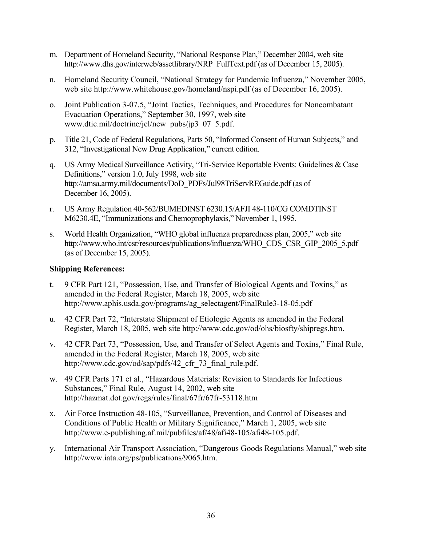- m. Department of Homeland Security, "National Response Plan," December 2004, web site http://www.dhs.gov/interweb/assetlibrary/NRP\_FullText.pdf (as of December 15, 2005).
- n. Homeland Security Council, "National Strategy for Pandemic Influenza," November 2005, web site http://www.whitehouse.gov/homeland/nspi.pdf (as of December 16, 2005).
- o. Joint Publication 3-07.5, "Joint Tactics, Techniques, and Procedures for Noncombatant Evacuation Operations," September 30, 1997, web site www.dtic.mil/doctrine/jel/new\_pubs/jp3\_07\_5.pdf.
- p. Title 21, Code of Federal Regulations, Parts 50, "Informed Consent of Human Subjects," and 312, "Investigational New Drug Application," current edition.
- q. US Army Medical Surveillance Activity, "Tri-Service Reportable Events: Guidelines & Case Definitions," version 1.0, July 1998, web site http://amsa.army.mil/documents/DoD\_PDFs/Jul98TriServREGuide.pdf (as of December 16, 2005).
- r. US Army Regulation 40-562/BUMEDINST 6230.15/AFJI 48-110/CG COMDTINST M6230.4E, "Immunizations and Chemoprophylaxis," November 1, 1995.
- s. World Health Organization, "WHO global influenza preparedness plan, 2005," web site http://www.who.int/csr/resources/publications/influenza/WHO\_CDS\_CSR\_GIP\_2005\_5.pdf (as of December 15, 2005).

#### **Shipping References:**

- t. 9 CFR Part 121, "Possession, Use, and Transfer of Biological Agents and Toxins," as amended in the Federal Register, March 18, 2005, web site http://www.aphis.usda.gov/programs/ag\_selectagent/FinalRule3-18-05.pdf
- u. 42 CFR Part 72, "Interstate Shipment of Etiologic Agents as amended in the Federal Register, March 18, 2005, web site http://www.cdc.gov/od/ohs/biosfty/shipregs.htm.
- v. 42 CFR Part 73, "Possession, Use, and Transfer of Select Agents and Toxins," Final Rule, amended in the Federal Register, March 18, 2005, web site http://www.cdc.gov/od/sap/pdfs/42 cfr 73 final rule.pdf.
- w. 49 CFR Parts 171 et al., "Hazardous Materials: Revision to Standards for Infectious Substances," Final Rule, August 14, 2002, web site http://hazmat.dot.gov/regs/rules/final/67fr/67fr-53118.htm
- x. Air Force Instruction 48-105, "Surveillance, Prevention, and Control of Diseases and Conditions of Public Health or Military Significance," March 1, 2005, web site http://www.e-publishing.af.mil/pubfiles/af/48/afi48-105/afi48-105.pdf.
- y. International Air Transport Association, "Dangerous Goods Regulations Manual," web site http://www.iata.org/ps/publications/9065.htm.